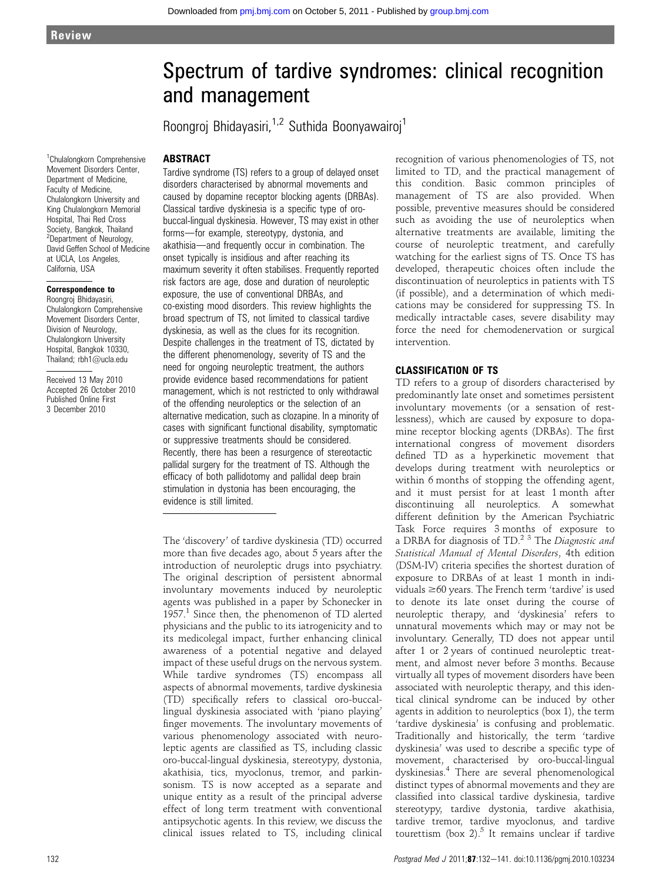# Spectrum of tardive syndromes: clinical recognition and management

Roongroj Bhidayasiri,<sup>1,2</sup> Suthida Boonyawairoj<sup>1</sup>

# ABSTRACT

1 Chulalongkorn Comprehensive Movement Disorders Center, Department of Medicine, Faculty of Medicine, Chulalongkorn University and King Chulalongkorn Memorial Hospital, Thai Red Cross Society, Bangkok, Thailand <sup>2</sup>Department of Neurology, David Geffen School of Medicine at UCLA, Los Angeles, California, USA

#### Correspondence to

Roongroj Bhidayasiri, Chulalongkorn Comprehensive Movement Disorders Center, Division of Neurology, Chulalongkorn University Hospital, Bangkok 10330, Thailand; rbh1@ucla.edu

Received 13 May 2010 Accepted 26 October 2010 Published Online First 3 December 2010

Tardive syndrome (TS) refers to a group of delayed onset disorders characterised by abnormal movements and caused by dopamine receptor blocking agents (DRBAs). Classical tardive dyskinesia is a specific type of orobuccal-lingual dyskinesia. However, TS may exist in other forms-for example, stereotypy, dystonia, and akathisia-and frequently occur in combination. The onset typically is insidious and after reaching its maximum severity it often stabilises. Frequently reported risk factors are age, dose and duration of neuroleptic exposure, the use of conventional DRBAs, and co-existing mood disorders. This review highlights the broad spectrum of TS, not limited to classical tardive dyskinesia, as well as the clues for its recognition. Despite challenges in the treatment of TS, dictated by the different phenomenology, severity of TS and the need for ongoing neuroleptic treatment, the authors provide evidence based recommendations for patient management, which is not restricted to only withdrawal of the offending neuroleptics or the selection of an alternative medication, such as clozapine. In a minority of cases with significant functional disability, symptomatic or suppressive treatments should be considered. Recently, there has been a resurgence of stereotactic pallidal surgery for the treatment of TS. Although the efficacy of both pallidotomy and pallidal deep brain stimulation in dystonia has been encouraging, the evidence is still limited.

The 'discovery' of tardive dyskinesia (TD) occurred more than five decades ago, about 5 years after the introduction of neuroleptic drugs into psychiatry. The original description of persistent abnormal involuntary movements induced by neuroleptic agents was published in a paper by Schonecker in  $1957<sup>1</sup>$  Since then, the phenomenon of TD alerted physicians and the public to its iatrogenicity and to its medicolegal impact, further enhancing clinical awareness of a potential negative and delayed impact of these useful drugs on the nervous system. While tardive syndromes (TS) encompass all aspects of abnormal movements, tardive dyskinesia (TD) specifically refers to classical oro-buccallingual dyskinesia associated with 'piano playing' finger movements. The involuntary movements of various phenomenology associated with neuroleptic agents are classified as TS, including classic oro-buccal-lingual dyskinesia, stereotypy, dystonia, akathisia, tics, myoclonus, tremor, and parkinsonism. TS is now accepted as a separate and unique entity as a result of the principal adverse effect of long term treatment with conventional antipsychotic agents. In this review, we discuss the clinical issues related to TS, including clinical

recognition of various phenomenologies of TS, not limited to TD, and the practical management of this condition. Basic common principles of management of TS are also provided. When possible, preventive measures should be considered such as avoiding the use of neuroleptics when alternative treatments are available, limiting the course of neuroleptic treatment, and carefully watching for the earliest signs of TS. Once TS has developed, therapeutic choices often include the discontinuation of neuroleptics in patients with TS (if possible), and a determination of which medications may be considered for suppressing TS. In medically intractable cases, severe disability may force the need for chemodenervation or surgical intervention.

# CLASSIFICATION OF TS

TD refers to a group of disorders characterised by predominantly late onset and sometimes persistent involuntary movements (or a sensation of restlessness), which are caused by exposure to dopamine receptor blocking agents (DRBAs). The first international congress of movement disorders defined TD as a hyperkinetic movement that develops during treatment with neuroleptics or within 6 months of stopping the offending agent, and it must persist for at least 1 month after discontinuing all neuroleptics. A somewhat different definition by the American Psychiatric Task Force requires 3 months of exposure to a DRBA for diagnosis of TD.<sup>2 3</sup> The Diagnostic and Statistical Manual of Mental Disorders, 4th edition (DSM-IV) criteria specifies the shortest duration of exposure to DRBAs of at least 1 month in individuals  $\geq 60$  years. The French term 'tardive' is used to denote its late onset during the course of neuroleptic therapy, and 'dyskinesia' refers to unnatural movements which may or may not be involuntary. Generally, TD does not appear until after 1 or 2 years of continued neuroleptic treatment, and almost never before 3 months. Because virtually all types of movement disorders have been associated with neuroleptic therapy, and this identical clinical syndrome can be induced by other agents in addition to neuroleptics (box 1), the term 'tardive dyskinesia' is confusing and problematic. Traditionally and historically, the term 'tardive dyskinesia' was used to describe a specific type of movement, characterised by oro-buccal-lingual dyskinesias.<sup>4</sup> There are several phenomenological distinct types of abnormal movements and they are classified into classical tardive dyskinesia, tardive stereotypy, tardive dystonia, tardive akathisia, tardive tremor, tardive myoclonus, and tardive tourettism (box 2). $5$  It remains unclear if tardive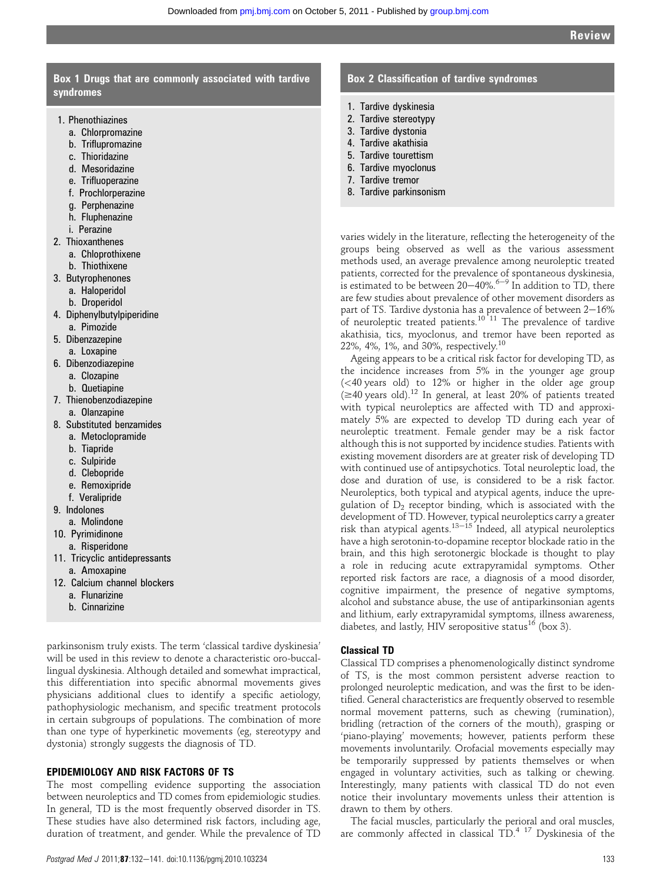#### Box 1 Drugs that are commonly associated with tardive syndromes

- 1. Phenothiazines
	- a. Chlorpromazine
	- b. Triflupromazine
	- c. Thioridazine
	- d. Mesoridazine
	- e. Trifluoperazine
	- f. Prochlorperazine
	- g. Perphenazine
	- h. Fluphenazine
	- i. Perazine
- 2. Thioxanthenes
	- a. Chloprothixene
	- b. Thiothixene
- 3. Butyrophenones
	- a. Haloperidol
	- b. Droperidol
- 4. Diphenylbutylpiperidine
- a. Pimozide
- 5. Dibenzazepine a. Loxapine
- 6. Dibenzodiazepine
	- a. Clozapine
	- b. Quetiapine
- 7. Thienobenzodiazepine
	- a. Olanzapine
- 8. Substituted benzamides
	- a. Metoclopramide
	- b. Tiapride
	- c. Sulpiride
	- d. Clebopride
	- e. Remoxipride
	- f. Veralipride
- 9. Indolones
	- a. Molindone
- 10. Pyrimidinone
	- a. Risperidone
- 11. Tricyclic antidepressants a. Amoxapine
- 12. Calcium channel blockers
	- a. Flunarizine
	- b. Cinnarizine

parkinsonism truly exists. The term 'classical tardive dyskinesia' will be used in this review to denote a characteristic oro-buccallingual dyskinesia. Although detailed and somewhat impractical, this differentiation into specific abnormal movements gives physicians additional clues to identify a specific aetiology, pathophysiologic mechanism, and specific treatment protocols in certain subgroups of populations. The combination of more than one type of hyperkinetic movements (eg, stereotypy and dystonia) strongly suggests the diagnosis of TD.

# EPIDEMIOLOGY AND RISK FACTORS OF TS

The most compelling evidence supporting the association between neuroleptics and TD comes from epidemiologic studies. In general, TD is the most frequently observed disorder in TS. These studies have also determined risk factors, including age, duration of treatment, and gender. While the prevalence of TD

# Box 2 Classification of tardive syndromes

- 1. Tardive dyskinesia
- 2. Tardive stereotypy
- 3. Tardive dystonia
- 4. Tardive akathisia 5. Tardive tourettism
- 6. Tardive myoclonus
- 7. Tardive tremor
- 
- 8. Tardive parkinsonism

varies widely in the literature, reflecting the heterogeneity of the groups being observed as well as the various assessment methods used, an average prevalence among neuroleptic treated patients, corrected for the prevalence of spontaneous dyskinesia, is estimated to be between  $20-40\%$ .<sup>6-9</sup> In addition to TD, there are few studies about prevalence of other movement disorders as part of TS. Tardive dystonia has a prevalence of between  $2-16\%$ of neuroleptic treated patients.<sup>10 11</sup> The prevalence of tardive akathisia, tics, myoclonus, and tremor have been reported as 22%, 4%, 1%, and 30%, respectively.10

Ageing appears to be a critical risk factor for developing TD, as the incidence increases from 5% in the younger age group (<40 years old) to 12% or higher in the older age group  $(\geq 40 \text{ years old})$ .<sup>12</sup> In general, at least 20% of patients treated with typical neuroleptics are affected with TD and approximately 5% are expected to develop TD during each year of neuroleptic treatment. Female gender may be a risk factor although this is not supported by incidence studies. Patients with existing movement disorders are at greater risk of developing TD with continued use of antipsychotics. Total neuroleptic load, the dose and duration of use, is considered to be a risk factor. Neuroleptics, both typical and atypical agents, induce the upregulation of  $D_2$  receptor binding, which is associated with the development of TD. However, typical neuroleptics carry a greater risk than atypical agents. $13-15$  Indeed, all atypical neuroleptics have a high serotonin-to-dopamine receptor blockade ratio in the brain, and this high serotonergic blockade is thought to play a role in reducing acute extrapyramidal symptoms. Other reported risk factors are race, a diagnosis of a mood disorder, cognitive impairment, the presence of negative symptoms, alcohol and substance abuse, the use of antiparkinsonian agents and lithium, early extrapyramidal symptoms, illness awareness, diabetes, and lastly, HIV seropositive status<sup>16</sup> (box 3).

# Classical TD

Classical TD comprises a phenomenologically distinct syndrome of TS, is the most common persistent adverse reaction to prolonged neuroleptic medication, and was the first to be identified. General characteristics are frequently observed to resemble normal movement patterns, such as chewing (rumination), bridling (retraction of the corners of the mouth), grasping or 'piano-playing' movements; however, patients perform these movements involuntarily. Orofacial movements especially may be temporarily suppressed by patients themselves or when engaged in voluntary activities, such as talking or chewing. Interestingly, many patients with classical TD do not even notice their involuntary movements unless their attention is drawn to them by others.

The facial muscles, particularly the perioral and oral muscles, are commonly affected in classical TD.<sup>4</sup> <sup>17</sup> Dyskinesia of the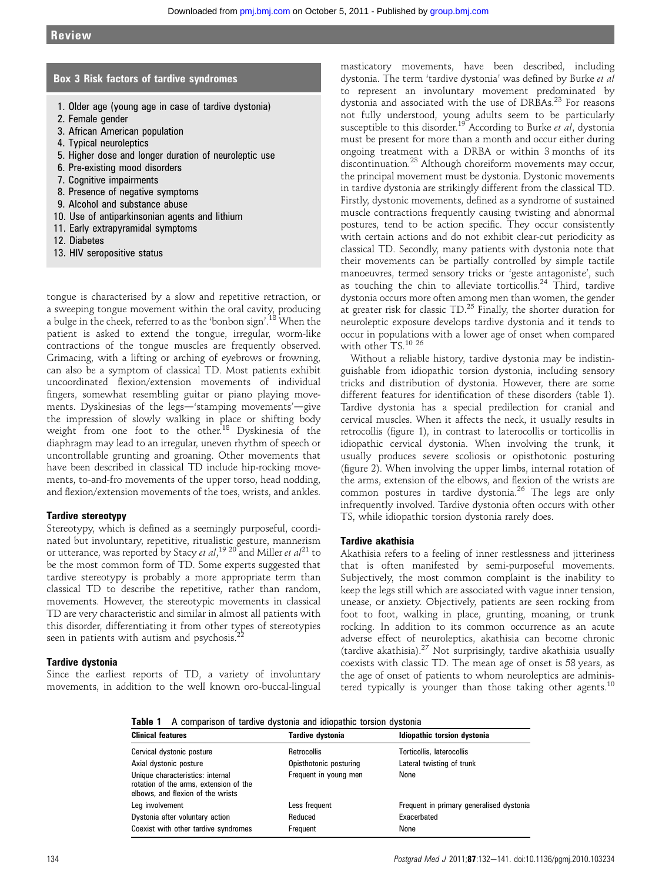# Box 3 Risk factors of tardive syndromes

- 1. Older age (young age in case of tardive dystonia)
- 2. Female gender
- 3. African American population
- 4. Typical neuroleptics
- 5. Higher dose and longer duration of neuroleptic use
- 6. Pre-existing mood disorders
- 7. Cognitive impairments
- 8. Presence of negative symptoms
- 9. Alcohol and substance abuse
- 10. Use of antiparkinsonian agents and lithium
- 11. Early extrapyramidal symptoms
- 12. Diabetes
- 13. HIV seropositive status

tongue is characterised by a slow and repetitive retraction, or a sweeping tongue movement within the oral cavity, producing a bulge in the cheek, referred to as the 'bonbon sign'.<sup>18</sup> When the patient is asked to extend the tongue, irregular, worm-like contractions of the tongue muscles are frequently observed. Grimacing, with a lifting or arching of eyebrows or frowning, can also be a symptom of classical TD. Most patients exhibit uncoordinated flexion/extension movements of individual fingers, somewhat resembling guitar or piano playing movements. Dyskinesias of the legs-'stamping movements'-give the impression of slowly walking in place or shifting body weight from one foot to the other.<sup>18</sup> Dyskinesia of the diaphragm may lead to an irregular, uneven rhythm of speech or uncontrollable grunting and groaning. Other movements that have been described in classical TD include hip-rocking movements, to-and-fro movements of the upper torso, head nodding, and flexion/extension movements of the toes, wrists, and ankles.

# Tardive stereotypy

Stereotypy, which is defined as a seemingly purposeful, coordinated but involuntary, repetitive, ritualistic gesture, mannerism or utterance, was reported by Stacy *et al*,  $^{19\ 20}$  and Miller *et al*  $^{21}$  to be the most common form of TD. Some experts suggested that tardive stereotypy is probably a more appropriate term than classical TD to describe the repetitive, rather than random, movements. However, the stereotypic movements in classical TD are very characteristic and similar in almost all patients with this disorder, differentiating it from other types of stereotypies seen in patients with autism and psychosis.<sup>2</sup>

#### Tardive dystonia

Since the earliest reports of TD, a variety of involuntary movements, in addition to the well known oro-buccal-lingual

masticatory movements, have been described, including dystonia. The term 'tardive dystonia' was defined by Burke et al to represent an involuntary movement predominated by dystonia and associated with the use of DRBAs.<sup>23</sup> For reasons not fully understood, young adults seem to be particularly susceptible to this disorder.<sup>19</sup> According to Burke et al, dystonia must be present for more than a month and occur either during ongoing treatment with a DRBA or within 3 months of its discontinuation.<sup>23</sup> Although choreiform movements may occur, the principal movement must be dystonia. Dystonic movements in tardive dystonia are strikingly different from the classical TD. Firstly, dystonic movements, defined as a syndrome of sustained muscle contractions frequently causing twisting and abnormal postures, tend to be action specific. They occur consistently with certain actions and do not exhibit clear-cut periodicity as classical TD. Secondly, many patients with dystonia note that their movements can be partially controlled by simple tactile manoeuvres, termed sensory tricks or 'geste antagoniste', such as touching the chin to alleviate torticollis.<sup>24</sup> Third, tardive dystonia occurs more often among men than women, the gender at greater risk for classic  $TD<sup>25</sup>$  Finally, the shorter duration for neuroleptic exposure develops tardive dystonia and it tends to occur in populations with a lower age of onset when compared with other TS.<sup>10 26</sup>

Without a reliable history, tardive dystonia may be indistinguishable from idiopathic torsion dystonia, including sensory tricks and distribution of dystonia. However, there are some different features for identification of these disorders (table 1). Tardive dystonia has a special predilection for cranial and cervical muscles. When it affects the neck, it usually results in retrocollis (figure 1), in contrast to laterocollis or torticollis in idiopathic cervical dystonia. When involving the trunk, it usually produces severe scoliosis or opisthotonic posturing (figure 2). When involving the upper limbs, internal rotation of the arms, extension of the elbows, and flexion of the wrists are common postures in tardive dystonia.<sup>26</sup> The legs are only infrequently involved. Tardive dystonia often occurs with other TS, while idiopathic torsion dystonia rarely does.

#### Tardive akathisia

Akathisia refers to a feeling of inner restlessness and jitteriness that is often manifested by semi-purposeful movements. Subjectively, the most common complaint is the inability to keep the legs still which are associated with vague inner tension, unease, or anxiety. Objectively, patients are seen rocking from foot to foot, walking in place, grunting, moaning, or trunk rocking. In addition to its common occurrence as an acute adverse effect of neuroleptics, akathisia can become chronic (tardive akathisia).<sup>27</sup> Not surprisingly, tardive akathisia usually coexists with classic TD. The mean age of onset is 58 years, as the age of onset of patients to whom neuroleptics are administered typically is younger than those taking other agents.<sup>10</sup>

**Table 1** A comparison of tardive dystonia and idiopathic torsion dystonia

| <b>Clinical features</b>                                                                                        | <b>Tardive dystonia</b> | Idiopathic torsion dystonia              |
|-----------------------------------------------------------------------------------------------------------------|-------------------------|------------------------------------------|
| Cervical dystonic posture                                                                                       | <b>Retrocollis</b>      | Torticollis, laterocollis                |
| Axial dystonic posture                                                                                          | Opisthotonic posturing  | Lateral twisting of trunk                |
| Unique characteristics: internal<br>rotation of the arms, extension of the<br>elbows, and flexion of the wrists | Frequent in young men   | None                                     |
| Leg involvement                                                                                                 | Less frequent           | Frequent in primary generalised dystonia |
| Dystonia after voluntary action                                                                                 | Reduced                 | Exacerbated                              |
| Coexist with other tardive syndromes                                                                            | Frequent                | None                                     |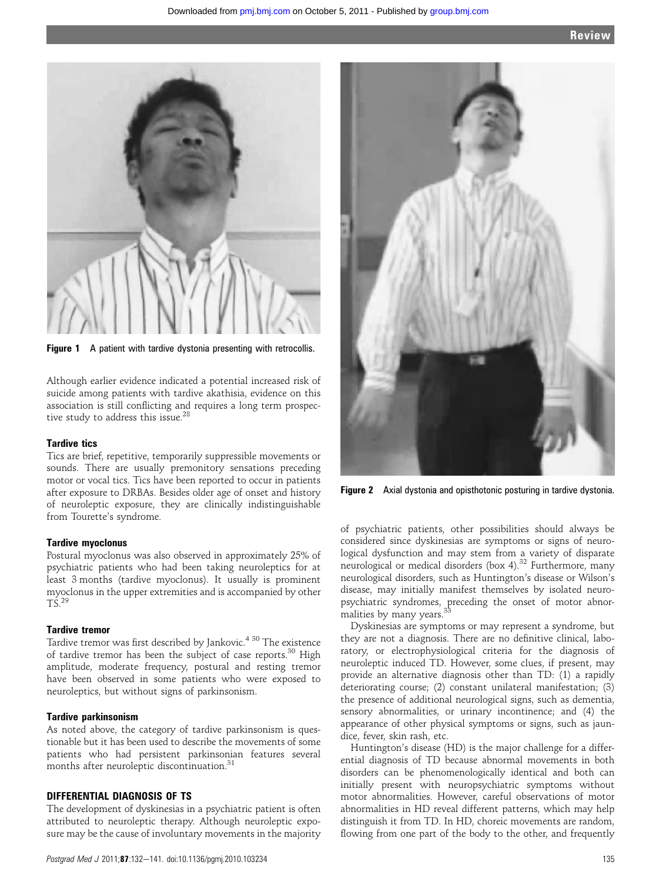

Figure 1 A patient with tardive dystonia presenting with retrocollis.

Although earlier evidence indicated a potential increased risk of suicide among patients with tardive akathisia, evidence on this association is still conflicting and requires a long term prospective study to address this issue.<sup>28</sup>

#### Tardive tics

Tics are brief, repetitive, temporarily suppressible movements or sounds. There are usually premonitory sensations preceding motor or vocal tics. Tics have been reported to occur in patients after exposure to DRBAs. Besides older age of onset and history of neuroleptic exposure, they are clinically indistinguishable from Tourette's syndrome.

#### Tardive myoclonus

Postural myoclonus was also observed in approximately 25% of psychiatric patients who had been taking neuroleptics for at least 3 months (tardive myoclonus). It usually is prominent myoclonus in the upper extremities and is accompanied by other  $T\zeta^{29}$ 

#### Tardive tremor

Tardive tremor was first described by Jankovic.<sup>4 30</sup> The existence of tardive tremor has been the subject of case reports.<sup>30</sup> High amplitude, moderate frequency, postural and resting tremor have been observed in some patients who were exposed to neuroleptics, but without signs of parkinsonism.

#### Tardive parkinsonism

As noted above, the category of tardive parkinsonism is questionable but it has been used to describe the movements of some patients who had persistent parkinsonian features several months after neuroleptic discontinuation.<sup>31</sup>

# DIFFERENTIAL DIAGNOSIS OF TS

The development of dyskinesias in a psychiatric patient is often attributed to neuroleptic therapy. Although neuroleptic exposure may be the cause of involuntary movements in the majority



Figure 2 Axial dystonia and opisthotonic posturing in tardive dystonia.

of psychiatric patients, other possibilities should always be considered since dyskinesias are symptoms or signs of neurological dysfunction and may stem from a variety of disparate neurological or medical disorders (box 4).<sup>32</sup> Furthermore, many neurological disorders, such as Huntington's disease or Wilson's disease, may initially manifest themselves by isolated neuropsychiatric syndromes, preceding the onset of motor abnormalities by many years.<sup>3</sup>

Dyskinesias are symptoms or may represent a syndrome, but they are not a diagnosis. There are no definitive clinical, laboratory, or electrophysiological criteria for the diagnosis of neuroleptic induced TD. However, some clues, if present, may provide an alternative diagnosis other than TD: (1) a rapidly deteriorating course; (2) constant unilateral manifestation; (3) the presence of additional neurological signs, such as dementia, sensory abnormalities, or urinary incontinence; and (4) the appearance of other physical symptoms or signs, such as jaundice, fever, skin rash, etc.

Huntington's disease (HD) is the major challenge for a differential diagnosis of TD because abnormal movements in both disorders can be phenomenologically identical and both can initially present with neuropsychiatric symptoms without motor abnormalities. However, careful observations of motor abnormalities in HD reveal different patterns, which may help distinguish it from TD. In HD, choreic movements are random, flowing from one part of the body to the other, and frequently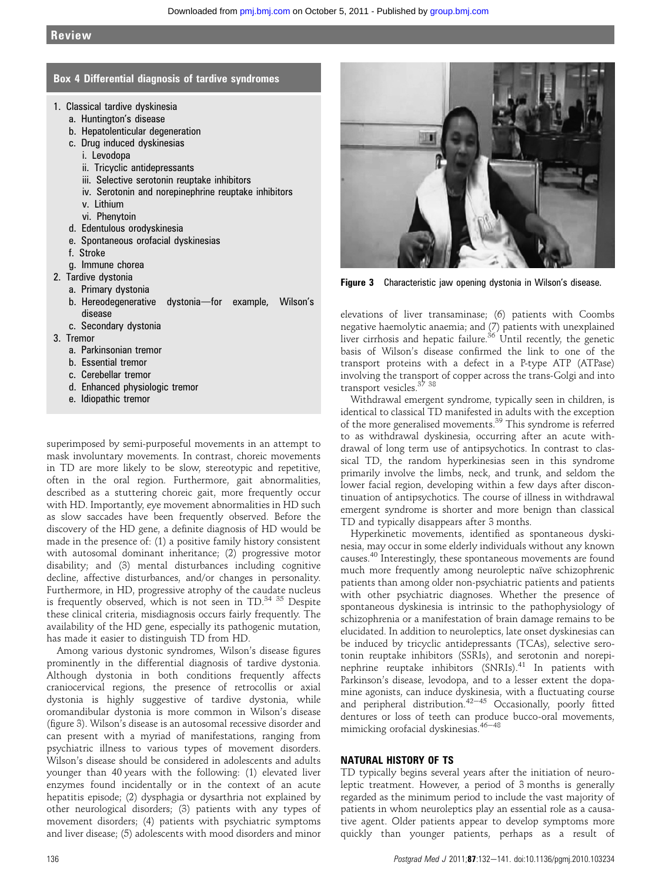# Review

# Box 4 Differential diagnosis of tardive syndromes

- 1. Classical tardive dyskinesia
	- a. Huntington's disease
	- b. Hepatolenticular degeneration
	- c. Drug induced dyskinesias
		- i. Levodopa
		- ii. Tricyclic antidepressants
		- iii. Selective serotonin reuptake inhibitors
		- iv. Serotonin and norepinephrine reuptake inhibitors
		- v. Lithium
		- vi. Phenytoin
	- d. Edentulous orodyskinesia
	- e. Spontaneous orofacial dyskinesias
	- f. Stroke
	- g. Immune chorea
- 2. Tardive dystonia
	- a. Primary dystonia
	- b. Hereodegenerative dystonia-for example, Wilson's disease
	- c. Secondary dystonia
- 3. Tremor
	- a. Parkinsonian tremor
	- b. Essential tremor
	- c. Cerebellar tremor
	- d. Enhanced physiologic tremor
	- e. Idiopathic tremor

superimposed by semi-purposeful movements in an attempt to mask involuntary movements. In contrast, choreic movements in TD are more likely to be slow, stereotypic and repetitive, often in the oral region. Furthermore, gait abnormalities, described as a stuttering choreic gait, more frequently occur with HD. Importantly, eye movement abnormalities in HD such as slow saccades have been frequently observed. Before the discovery of the HD gene, a definite diagnosis of HD would be made in the presence of: (1) a positive family history consistent with autosomal dominant inheritance; (2) progressive motor disability; and (3) mental disturbances including cognitive decline, affective disturbances, and/or changes in personality. Furthermore, in HD, progressive atrophy of the caudate nucleus is frequently observed, which is not seen in TD.<sup>34 35</sup> Despite these clinical criteria, misdiagnosis occurs fairly frequently. The availability of the HD gene, especially its pathogenic mutation, has made it easier to distinguish TD from HD.

Among various dystonic syndromes, Wilson's disease figures prominently in the differential diagnosis of tardive dystonia. Although dystonia in both conditions frequently affects craniocervical regions, the presence of retrocollis or axial dystonia is highly suggestive of tardive dystonia, while oromandibular dystonia is more common in Wilson's disease (figure 3). Wilson's disease is an autosomal recessive disorder and can present with a myriad of manifestations, ranging from psychiatric illness to various types of movement disorders. Wilson's disease should be considered in adolescents and adults younger than 40 years with the following: (1) elevated liver enzymes found incidentally or in the context of an acute hepatitis episode; (2) dysphagia or dysarthria not explained by other neurological disorders; (3) patients with any types of movement disorders; (4) patients with psychiatric symptoms and liver disease; (5) adolescents with mood disorders and minor



Figure 3 Characteristic jaw opening dystonia in Wilson's disease.

elevations of liver transaminase; (6) patients with Coombs negative haemolytic anaemia; and (7) patients with unexplained liver cirrhosis and hepatic failure.<sup>36</sup> Until recently, the genetic basis of Wilson's disease confirmed the link to one of the transport proteins with a defect in a P-type ATP (ATPase) involving the transport of copper across the trans-Golgi and into transport vesicles.<sup>37</sup> 38

Withdrawal emergent syndrome, typically seen in children, is identical to classical TD manifested in adults with the exception of the more generalised movements.<sup>39</sup> This syndrome is referred to as withdrawal dyskinesia, occurring after an acute withdrawal of long term use of antipsychotics. In contrast to classical TD, the random hyperkinesias seen in this syndrome primarily involve the limbs, neck, and trunk, and seldom the lower facial region, developing within a few days after discontinuation of antipsychotics. The course of illness in withdrawal emergent syndrome is shorter and more benign than classical TD and typically disappears after 3 months.

Hyperkinetic movements, identified as spontaneous dyskinesia, may occur in some elderly individuals without any known causes.<sup>40</sup> Interestingly, these spontaneous movements are found much more frequently among neuroleptic naïve schizophrenic patients than among older non-psychiatric patients and patients with other psychiatric diagnoses. Whether the presence of spontaneous dyskinesia is intrinsic to the pathophysiology of schizophrenia or a manifestation of brain damage remains to be elucidated. In addition to neuroleptics, late onset dyskinesias can be induced by tricyclic antidepressants (TCAs), selective serotonin reuptake inhibitors (SSRIs), and serotonin and norepinephrine reuptake inhibitors (SNRIs).<sup>41</sup> In patients with Parkinson's disease, levodopa, and to a lesser extent the dopamine agonists, can induce dyskinesia, with a fluctuating course and peripheral distribution. $42-45$  Occasionally, poorly fitted dentures or loss of teeth can produce bucco-oral movements, mimicking orofacial dyskinesias.<sup>46-48</sup>

# NATURAL HISTORY OF TS

TD typically begins several years after the initiation of neuroleptic treatment. However, a period of 3 months is generally regarded as the minimum period to include the vast majority of patients in whom neuroleptics play an essential role as a causative agent. Older patients appear to develop symptoms more quickly than younger patients, perhaps as a result of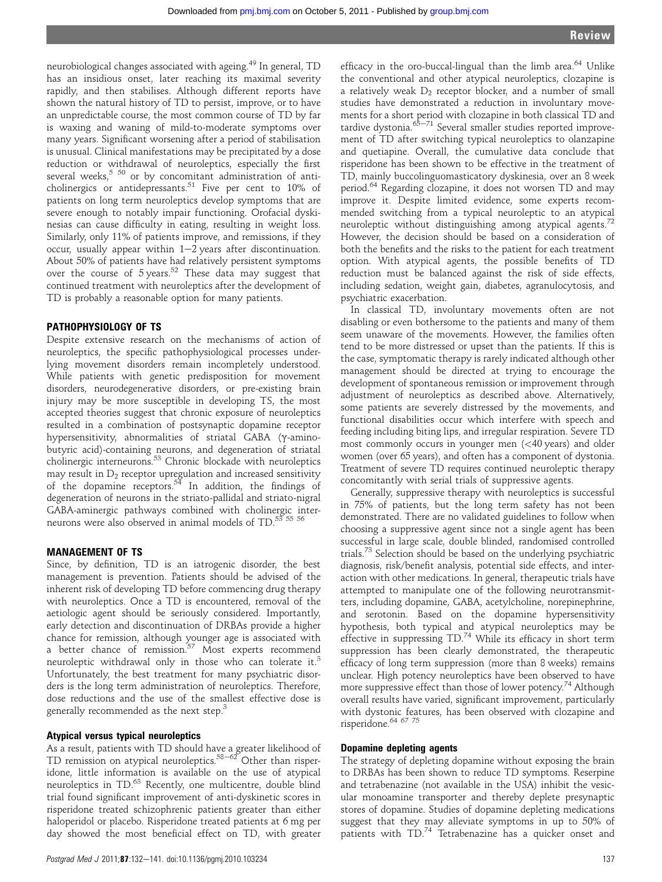neurobiological changes associated with ageing.<sup>49</sup> In general, TD has an insidious onset, later reaching its maximal severity rapidly, and then stabilises. Although different reports have shown the natural history of TD to persist, improve, or to have an unpredictable course, the most common course of TD by far is waxing and waning of mild-to-moderate symptoms over many years. Significant worsening after a period of stabilisation is unusual. Clinical manifestations may be precipitated by a dose reduction or withdrawal of neuroleptics, especially the first several weeks, $550$  or by concomitant administration of anticholinergics or antidepressants.<sup>51</sup> Five per cent to 10% of patients on long term neuroleptics develop symptoms that are severe enough to notably impair functioning. Orofacial dyskinesias can cause difficulty in eating, resulting in weight loss. Similarly, only 11% of patients improve, and remissions, if they occur, usually appear within  $1-2$  years after discontinuation. About 50% of patients have had relatively persistent symptoms over the course of  $5 \text{ years}$ .<sup>52</sup> These data may suggest that continued treatment with neuroleptics after the development of TD is probably a reasonable option for many patients.

# PATHOPHYSIOLOGY OF TS

Despite extensive research on the mechanisms of action of neuroleptics, the specific pathophysiological processes underlying movement disorders remain incompletely understood. While patients with genetic predisposition for movement disorders, neurodegenerative disorders, or pre-existing brain injury may be more susceptible in developing TS, the most accepted theories suggest that chronic exposure of neuroleptics resulted in a combination of postsynaptic dopamine receptor hypersensitivity, abnormalities of striatal GABA (y-aminobutyric acid)-containing neurons, and degeneration of striatal cholinergic interneurons.<sup>53</sup> Chronic blockade with neuroleptics may result in  $D_2$  receptor upregulation and increased sensitivity of the dopamine receptors.<sup>54</sup> In addition, the findings of degeneration of neurons in the striato-pallidal and striato-nigral GABA-aminergic pathways combined with cholinergic interneurons were also observed in animal models of TD.<sup>53 55 56</sup>

#### MANAGEMENT OF TS

Since, by definition, TD is an iatrogenic disorder, the best management is prevention. Patients should be advised of the inherent risk of developing TD before commencing drug therapy with neuroleptics. Once a TD is encountered, removal of the aetiologic agent should be seriously considered. Importantly, early detection and discontinuation of DRBAs provide a higher chance for remission, although younger age is associated with a better chance of remission.<sup>57</sup> Most experts recommend neuroleptic withdrawal only in those who can tolerate it.<sup>3</sup> Unfortunately, the best treatment for many psychiatric disorders is the long term administration of neuroleptics. Therefore, dose reductions and the use of the smallest effective dose is generally recommended as the next step.<sup>3</sup>

#### Atypical versus typical neuroleptics

As a result, patients with TD should have a greater likelihood of<br>TD remission on atypical neuroleptics.<sup>58–62</sup> Other than risperidone, little information is available on the use of atypical neuroleptics in TD.<sup>63</sup> Recently, one multicentre, double blind trial found significant improvement of anti-dyskinetic scores in risperidone treated schizophrenic patients greater than either haloperidol or placebo. Risperidone treated patients at 6 mg per day showed the most beneficial effect on TD, with greater

efficacy in the oro-buccal-lingual than the limb area.<sup>64</sup> Unlike the conventional and other atypical neuroleptics, clozapine is a relatively weak  $D_2$  receptor blocker, and a number of small studies have demonstrated a reduction in involuntary movements for a short period with clozapine in both classical TD and tardive dystonia. $65-71$  Several smaller studies reported improvement of TD after switching typical neuroleptics to olanzapine and quetiapine. Overall, the cumulative data conclude that risperidone has been shown to be effective in the treatment of TD, mainly buccolinguomasticatory dyskinesia, over an 8 week period.<sup>64</sup> Regarding clozapine, it does not worsen TD and may improve it. Despite limited evidence, some experts recommended switching from a typical neuroleptic to an atypical neuroleptic without distinguishing among atypical agents. $72$ However, the decision should be based on a consideration of both the benefits and the risks to the patient for each treatment option. With atypical agents, the possible benefits of TD reduction must be balanced against the risk of side effects, including sedation, weight gain, diabetes, agranulocytosis, and psychiatric exacerbation.

In classical TD, involuntary movements often are not disabling or even bothersome to the patients and many of them seem unaware of the movements. However, the families often tend to be more distressed or upset than the patients. If this is the case, symptomatic therapy is rarely indicated although other management should be directed at trying to encourage the development of spontaneous remission or improvement through adjustment of neuroleptics as described above. Alternatively, some patients are severely distressed by the movements, and functional disabilities occur which interfere with speech and feeding including biting lips, and irregular respiration. Severe TD most commonly occurs in younger men (<40 years) and older women (over 65 years), and often has a component of dystonia. Treatment of severe TD requires continued neuroleptic therapy concomitantly with serial trials of suppressive agents.

Generally, suppressive therapy with neuroleptics is successful in 75% of patients, but the long term safety has not been demonstrated. There are no validated guidelines to follow when choosing a suppressive agent since not a single agent has been successful in large scale, double blinded, randomised controlled trials.<sup>73</sup> Selection should be based on the underlying psychiatric diagnosis, risk/benefit analysis, potential side effects, and interaction with other medications. In general, therapeutic trials have attempted to manipulate one of the following neurotransmitters, including dopamine, GABA, acetylcholine, norepinephrine, and serotonin. Based on the dopamine hypersensitivity hypothesis, both typical and atypical neuroleptics may be effective in suppressing TD.<sup>74</sup> While its efficacy in short term suppression has been clearly demonstrated, the therapeutic efficacy of long term suppression (more than 8 weeks) remains unclear. High potency neuroleptics have been observed to have more suppressive effect than those of lower potency.<sup>74</sup> Although overall results have varied, significant improvement, particularly with dystonic features, has been observed with clozapine and risperidone.<sup>64 67 75</sup>

#### Dopamine depleting agents

The strategy of depleting dopamine without exposing the brain to DRBAs has been shown to reduce TD symptoms. Reserpine and tetrabenazine (not available in the USA) inhibit the vesicular monoamine transporter and thereby deplete presynaptic stores of dopamine. Studies of dopamine depleting medications suggest that they may alleviate symptoms in up to 50% of patients with TD.<sup>74</sup> Tetrabenazine has a quicker onset and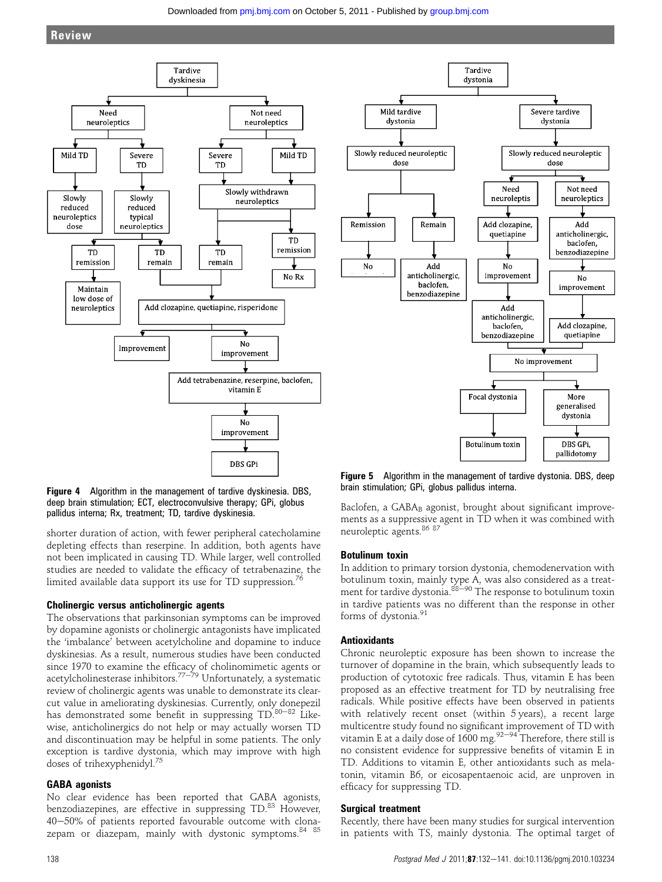

**Figure 4** Algorithm in the management of tardive dyskinesia. DBS, deep brain stimulation; ECT, electroconvulsive therapy; GPi, globus pallidus interna; Rx, treatment; TD, tardive dyskinesia.

shorter duration of action, with fewer peripheral catecholamine depleting effects than reserpine. In addition, both agents have not been implicated in causing TD. While larger, well controlled studies are needed to validate the efficacy of tetrabenazine, the limited available data support its use for TD suppression.<sup>7</sup>

#### Cholinergic versus anticholinergic agents

The observations that parkinsonian symptoms can be improved by dopamine agonists or cholinergic antagonists have implicated the 'imbalance' between acetylcholine and dopamine to induce dyskinesias. As a result, numerous studies have been conducted since 1970 to examine the efficacy of cholinomimetic agents or<br>acetylcholinesterase inhibitors.<sup>77–79</sup> Unfortunately, a systematic review of cholinergic agents was unable to demonstrate its clearcut value in ameliorating dyskinesias. Currently, only donepezil has demonstrated some benefit in suppressing  $TD$ . $80-82$  Likewise, anticholinergics do not help or may actually worsen TD and discontinuation may be helpful in some patients. The only exception is tardive dystonia, which may improve with high doses of trihexyphenidyl.75

#### GABA agonists

No clear evidence has been reported that GABA agonists, benzodiazepines, are effective in suppressing TD.83 However, 40-50% of patients reported favourable outcome with clonazepam or diazepam, mainly with dystonic symptoms. 84 85



Figure 5 Algorithm in the management of tardive dystonia. DBS, deep brain stimulation; GPi, globus pallidus interna.

Baclofen, a  $GABA_B$  agonist, brought about significant improvements as a suppressive agent in TD when it was combined with neuroleptic agents.<sup>86 87</sup>

# Botulinum toxin

In addition to primary torsion dystonia, chemodenervation with botulinum toxin, mainly type A, was also considered as a treatment for tardive dystonia. $88-90$  The response to botulinum toxin in tardive patients was no different than the response in other forms of dystonia.<sup>91</sup>

#### **Antioxidants**

Chronic neuroleptic exposure has been shown to increase the turnover of dopamine in the brain, which subsequently leads to production of cytotoxic free radicals. Thus, vitamin E has been proposed as an effective treatment for TD by neutralising free radicals. While positive effects have been observed in patients with relatively recent onset (within 5 years), a recent large multicentre study found no significant improvement of TD with vitamin E at a daily dose of 1600 mg.<sup>92–94</sup> Therefore, there still is no consistent evidence for suppressive benefits of vitamin E in TD. Additions to vitamin E, other antioxidants such as melatonin, vitamin B6, or eicosapentaenoic acid, are unproven in efficacy for suppressing TD.

#### Surgical treatment

Recently, there have been many studies for surgical intervention in patients with TS, mainly dystonia. The optimal target of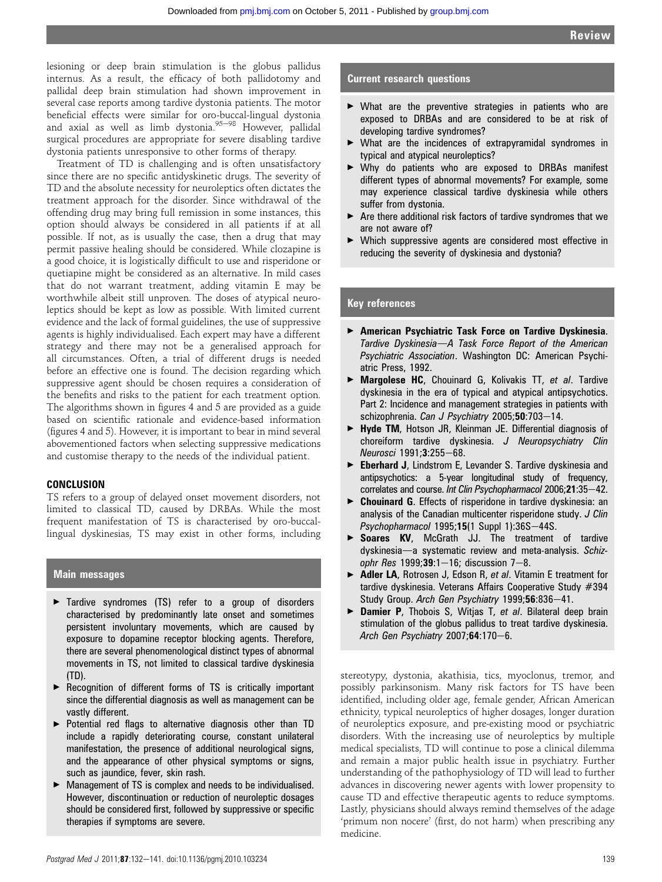lesioning or deep brain stimulation is the globus pallidus internus. As a result, the efficacy of both pallidotomy and pallidal deep brain stimulation had shown improvement in several case reports among tardive dystonia patients. The motor beneficial effects were similar for oro-buccal-lingual dystonia and axial as well as limb dystonia. $95-98$  However, pallidal surgical procedures are appropriate for severe disabling tardive dystonia patients unresponsive to other forms of therapy.

Treatment of TD is challenging and is often unsatisfactory since there are no specific antidyskinetic drugs. The severity of TD and the absolute necessity for neuroleptics often dictates the treatment approach for the disorder. Since withdrawal of the offending drug may bring full remission in some instances, this option should always be considered in all patients if at all possible. If not, as is usually the case, then a drug that may permit passive healing should be considered. While clozapine is a good choice, it is logistically difficult to use and risperidone or quetiapine might be considered as an alternative. In mild cases that do not warrant treatment, adding vitamin E may be worthwhile albeit still unproven. The doses of atypical neuroleptics should be kept as low as possible. With limited current evidence and the lack of formal guidelines, the use of suppressive agents is highly individualised. Each expert may have a different strategy and there may not be a generalised approach for all circumstances. Often, a trial of different drugs is needed before an effective one is found. The decision regarding which suppressive agent should be chosen requires a consideration of the benefits and risks to the patient for each treatment option. The algorithms shown in figures 4 and 5 are provided as a guide based on scientific rationale and evidence-based information (figures 4 and 5). However, it is important to bear in mind several abovementioned factors when selecting suppressive medications and customise therapy to the needs of the individual patient.

# **CONCLUSION**

TS refers to a group of delayed onset movement disorders, not limited to classical TD, caused by DRBAs. While the most frequent manifestation of TS is characterised by oro-buccallingual dyskinesias, TS may exist in other forms, including

# Main messages

- ▶ Tardive syndromes (TS) refer to a group of disorders characterised by predominantly late onset and sometimes persistent involuntary movements, which are caused by exposure to dopamine receptor blocking agents. Therefore, there are several phenomenological distinct types of abnormal movements in TS, not limited to classical tardive dyskinesia (TD).
- $\triangleright$  Recognition of different forms of TS is critically important since the differential diagnosis as well as management can be vastly different.
- < Potential red flags to alternative diagnosis other than TD include a rapidly deteriorating course, constant unilateral manifestation, the presence of additional neurological signs, and the appearance of other physical symptoms or signs, such as jaundice, fever, skin rash.
- < Management of TS is complex and needs to be individualised. However, discontinuation or reduction of neuroleptic dosages should be considered first, followed by suppressive or specific therapies if symptoms are severe.

#### Current research questions

- < What are the preventive strategies in patients who are exposed to DRBAs and are considered to be at risk of developing tardive syndromes?
- $\triangleright$  What are the incidences of extrapyramidal syndromes in typical and atypical neuroleptics?
- ▶ Why do patients who are exposed to DRBAs manifest different types of abnormal movements? For example, some may experience classical tardive dyskinesia while others suffer from dystonia.
- $\blacktriangleright$  Are there additional risk factors of tardive syndromes that we are not aware of?
- Which suppressive agents are considered most effective in reducing the severity of dyskinesia and dystonia?

#### Key references

- ▶ American Psychiatric Task Force on Tardive Dyskinesia. Tardive Dyskinesia-A Task Force Report of the American Psychiatric Association. Washington DC: American Psychiatric Press, 1992.
- ▶ Margolese HC, Chouinard G, Kolivakis TT, et al. Tardive dyskinesia in the era of typical and atypical antipsychotics. Part 2: Incidence and management strategies in patients with schizophrenia. Can J Psychiatry 2005;50:703-14.
- ▶ Hyde TM, Hotson JR, Kleinman JE. Differential diagnosis of choreiform tardive dyskinesia. J Neuropsychiatry Clin Neurosci 1991:3:255-68.
- Eberhard J, Lindstrom E, Levander S. Tardive dyskinesia and antipsychotics: a 5-year longitudinal study of frequency, correlates and course. Int Clin Psychopharmacol 2006;21:35-42.
- $\triangleright$  Chouinard G. Effects of risperidone in tardive dyskinesia: an analysis of the Canadian multicenter risperidone study. J Clin  $Psychopharmacol$  1995;15(1 Suppl 1):36S-44S.
- ▶ Soares KV, McGrath JJ. The treatment of tardive dyskinesia-a systematic review and meta-analysis. Schizophr Res 1999;39:1-16; discussion  $7-8$ .
- ▶ Adler LA, Rotrosen J, Edson R, et al. Vitamin E treatment for tardive dyskinesia. Veterans Affairs Cooperative Study #394 Study Group. Arch Gen Psychiatry 1999;56:836-41.
- Damier P, Thobois S, Witjas T, et al. Bilateral deep brain stimulation of the globus pallidus to treat tardive dyskinesia. Arch Gen Psychiatry 2007;64:170-6.

stereotypy, dystonia, akathisia, tics, myoclonus, tremor, and possibly parkinsonism. Many risk factors for TS have been identified, including older age, female gender, African American ethnicity, typical neuroleptics of higher dosages, longer duration of neuroleptics exposure, and pre-existing mood or psychiatric disorders. With the increasing use of neuroleptics by multiple medical specialists, TD will continue to pose a clinical dilemma and remain a major public health issue in psychiatry. Further understanding of the pathophysiology of TD will lead to further advances in discovering newer agents with lower propensity to cause TD and effective therapeutic agents to reduce symptoms. Lastly, physicians should always remind themselves of the adage 'primum non nocere' (first, do not harm) when prescribing any medicine.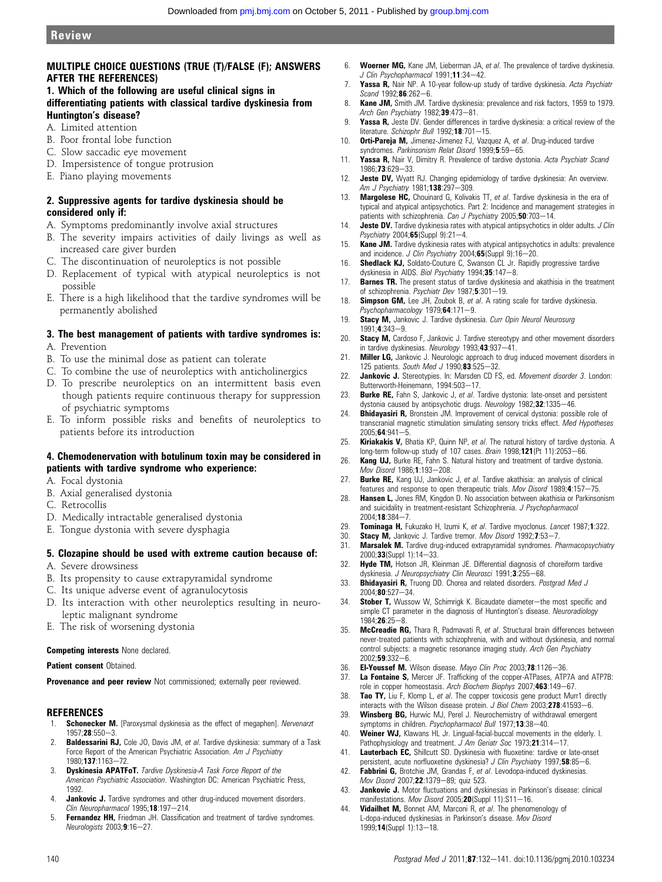# MULTIPLE CHOICE QUESTIONS (TRUE (T)/FALSE (F); ANSWERS AFTER THE REFERENCES)

# 1. Which of the following are useful clinical signs in

differentiating patients with classical tardive dyskinesia from Huntington's disease?

- A. Limited attention
- B. Poor frontal lobe function
- C. Slow saccadic eye movement
- D. Impersistence of tongue protrusion
- E. Piano playing movements

# 2. Suppressive agents for tardive dyskinesia should be considered only if:

- A. Symptoms predominantly involve axial structures
- B. The severity impairs activities of daily livings as well as increased care giver burden
- C. The discontinuation of neuroleptics is not possible
- D. Replacement of typical with atypical neuroleptics is not possible
- E. There is a high likelihood that the tardive syndromes will be permanently abolished

# 3. The best management of patients with tardive syndromes is:

- A. Prevention
- B. To use the minimal dose as patient can tolerate
- C. To combine the use of neuroleptics with anticholinergics
- D. To prescribe neuroleptics on an intermittent basis even though patients require continuous therapy for suppression of psychiatric symptoms
- E. To inform possible risks and benefits of neuroleptics to patients before its introduction

# 4. Chemodenervation with botulinum toxin may be considered in patients with tardive syndrome who experience:

- A. Focal dystonia
- B. Axial generalised dystonia
- C. Retrocollis
- D. Medically intractable generalised dystonia
- E. Tongue dystonia with severe dysphagia

# 5. Clozapine should be used with extreme caution because of:

- A. Severe drowsiness
- B. Its propensity to cause extrapyramidal syndrome
- C. Its unique adverse event of agranulocytosis
- D. Its interaction with other neuroleptics resulting in neuroleptic malignant syndrome
- E. The risk of worsening dystonia

# Competing interests None declared.

#### Patient consent Obtained.

Provenance and peer review Not commissioned; externally peer reviewed.

# REFERENCES

- **Schonecker M.** [Paroxysmal dyskinesia as the effect of megaphen]. Nervenarzt 1957;28:550-3.
- 2. **Baldessarini RJ,** Cole JO, Davis JM, et al. Tardive dyskinesia: summary of a Task Force Report of the American Psychiatric Association. Am J Psychiatry 1980;137:1163-72.
- 3. **Dyskinesia APATFoT.** Tardive Dyskinesia-A Task Force Report of the American Psychiatric Association. Washington DC: American Psychiatric Press, 1992.
- 4. Jankovic J. Tardive syndromes and other drug-induced movement disorders. Clin Neuropharmacol 1995;18:197-214.
- Fernandez HH, Friedman JH. Classification and treatment of tardive syndromes. Neurologists  $2003;9:16-27$ .
- 6. **Woerner MG,** Kane JM, Lieberman JA, et al. The prevalence of tardive dyskinesia. J Clin Psychopharmacol 1991;11:34-42.
- 7. Yassa R, Nair NP. A 10-year follow-up study of tardive dyskinesia. Acta Psychiatr Scand 1992;86:262-6.
- 8. **Kane JM.** Smith JM. Tardive dyskinesia: prevalence and risk factors, 1959 to 1979. Arch Gen Psychiatry 1982;39:473-81.
- 9. Yassa R, Jeste DV. Gender differences in tardive dyskinesia: a critical review of the literature. Schizophr Bull  $1992;18:701-15$ .
- 10. **Orti-Pareja M,** Jimenez-Jimenez FJ, Vazquez A, et al. Drug-induced tardive syndromes. Parkinsonism Relat Disord 1999;5:59-65.
- 11. **Yassa R,** Nair V, Dimitry R. Prevalence of tardive dystonia. Acta Psychiatr Scand 1986:73:629-33
- 12. Jeste DV, Wyatt RJ. Changing epidemiology of tardive dyskinesia: An overview. Am J Psychiatry 1981;138:297-309.
- 13. **Margolese HC,** Chouinard G, Kolivakis TT, et al. Tardive dyskinesia in the era of typical and atypical antipsychotics. Part 2: Incidence and management strategies in patients with schizophrenia. Can J Psychiatry 2005;50:703-14.
- 14. Jeste DV. Tardive dyskinesia rates with atypical antipsychotics in older adults. J Clin Psychiatry 2004; $65$ (Suppl 9): $21-4$ .
- 15. **Kane JM.** Tardive dyskinesia rates with atypical antipsychotics in adults: prevalence and incidence. J Clin Psychiatry 2004;65(Suppl 9):16-20.
- 16. Shedlack KJ, Soldato-Couture C, Swanson CL Jr. Rapidly progressive tardive dyskinesia in AIDS. Biol Psychiatry 1994;35:147-8.
- 17. **Barnes TR.** The present status of tardive dyskinesia and akathisia in the treatment of schizophrenia. Psychiatr Dev 1987:5:301 $-19$ .
- 18. Simpson GM, Lee JH, Zoubok B, et al. A rating scale for tardive dyskinesia. Psychopharmacology 1979;64:171-9.
- 19. Stacy M, Jankovic J. Tardive dyskinesia. Curr Opin Neurol Neurosurg  $1991 \cdot 4.343 - 9$
- 20. Stacy M, Cardoso F, Jankovic J. Tardive stereotypy and other movement disorders in tardive dyskinesias. Neurology  $1993;43:937-41$ .
- 21. Miller LG, Jankovic J. Neurologic approach to drug induced movement disorders in 125 patients. South Med J 1990;83:525-32.
- 22. Jankovic J. Stereotypies. In: Marsden CD FS, ed. Movement disorder 3. London: Butterworth-Heinemann, 1994:503-17.
- 23. Burke RE, Fahn S, Jankovic J, et al. Tardive dystonia: late-onset and persistent dystonia caused by antipsychotic drugs. Neurology 1982;32:1335-46.
- 24. Bhidayasiri R, Bronstein JM. Improvement of cervical dystonia: possible role of transcranial magnetic stimulation simulating sensory tricks effect. Med Hypotheses  $2005;64:941-5$
- 25. **Kiriakakis V,** Bhatia KP, Quinn NP, et al. The natural history of tardive dystonia. A long-term follow-up study of 107 cases. Brain 1998;121(Pt 11):2053-66.
- 26. Kang UJ, Burke RE, Fahn S. Natural history and treatment of tardive dystonia. Mov Disord 1986;1:193-208.
- 27. **Burke RE,** Kang UJ, Jankovic J, et al. Tardive akathisia: an analysis of clinical features and response to open therapeutic trials. Mov Disord 1989;4:157-75.
- 28. Hansen L, Jones RM, Kingdon D. No association between akathisia or Parkinsonism and suicidality in treatment-resistant Schizophrenia. J Psychopharmacol  $2004;18:384-7$
- 29. **Tominaga H,** Fukuzako H, Izumi K, *et al.* Tardive myoclonus. *Lancet* 1987;1:322.<br>30. **Stacy M**, Jankovic J, Tardive tremor, *Moy Disord*, 1992:7:53-7.
- Stacy M, Jankovic J. Tardive tremor. Mov Disord 1992;7:53-7.
- 31. Marsalek M. Tardive drug-induced extrapyramidal syndromes. Pharmacopsychiatry 2000;33(Suppl 1):14-33.
- 32. Hyde TM, Hotson JR, Kleinman JE. Differential diagnosis of choreiform tardive dyskinesia. J Neuropsychiatry Clin Neurosci 1991;3:255-68.
- 33. Bhidayasiri R, Truong DD. Chorea and related disorders. Postgrad Med J 2004:80:527-34.
- 34. Stober T, Wussow W, Schimrigk K. Bicaudate diameter-the most specific and simple CT parameter in the diagnosis of Huntington's disease. Neuroradiology  $1984;26:25-8.$
- 35. McCreadie RG, Thara R, Padmavati R, et al. Structural brain differences between never-treated patients with schizophrenia, with and without dyskinesia, and normal control subjects: a magnetic resonance imaging study. Arch Gen Psychiatry  $2002:59:332 - 6$
- 36. El-Youssef M. Wilson disease. Mayo Clin Proc 2003;78:1126-36.
- 37. La Fontaine S, Mercer JF. Trafficking of the copper-ATPases, ATP7A and ATP7B: role in copper homeostasis. Arch Biochem Biophys 2007;463:149-67.
- 38. Tao TY, Liu F, Klomp L, et al. The copper toxicosis gene product Murr1 directly interacts with the Wilson disease protein. J Biol Chem 2003;278:41593-6.
- 39. Winsberg BG, Hurwic MJ, Perel J. Neurochemistry of withdrawal emergent symptoms in children. Psychopharmacol Bull 1977;13:38-40.
- 40. Weiner WJ, Klawans HL Jr. Lingual-facial-buccal movements in the elderly. I. Pathophysiology and treatment. J Am Geriatr Soc 1973;21:314-17.
- 41. **Lauterbach EC,** Shillcutt SD. Dyskinesia with fluoxetine: tardive or late-onset persistent, acute norfluoxetine dyskinesia? J Clin Psychiatry 1997;58:85-6.
- 42. Fabbrini G, Brotchie JM, Grandas F, et al. Levodopa-induced dyskinesias. Mov Disord 2007;22:1379-89; quiz 523.
- 43. **Jankovic J.** Motor fluctuations and dyskinesias in Parkinson's disease: clinical manifestations. Mov Disord 2005;20(Suppl 11):S11-16.
- 44. Vidailhet M, Bonnet AM, Marconi R, et al. The phenomenology of L-dopa-induced dyskinesias in Parkinson's disease. Mov Disord 1999;14(Suppl 1):13-18.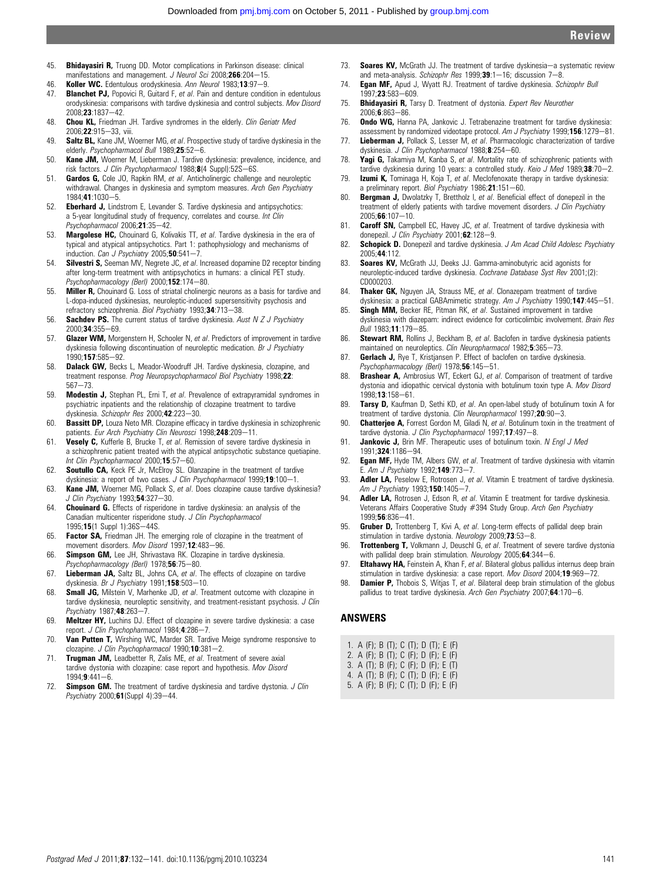- 45. **Bhidayasiri R.** Truong DD. Motor complications in Parkinson disease: clinical manifestations and management. J Neurol Sci 2008;266:204-15.
- 46. **Koller WC.** Edentulous orodyskinesia. Ann Neurol 1983;13:97-9.<br>47. **Blanchet PJ.** Ponovici R. Guitard F. et al. Pain and denture condit
- **Blanchet PJ,** Popovici R, Guitard F, et al. Pain and denture condition in edentulous orodyskinesia: comparisons with tardive dyskinesia and control subjects. Mov Disord  $2008:23:1837-42$
- 48. Chou KL, Friedman JH. Tardive syndromes in the elderly. Clin Geriatr Med 2006;22:915-33, viii.
- 49. Saltz BL, Kane JM, Woerner MG, et al. Prospective study of tardive dyskinesia in the elderly. Psychopharmacol Bull 1989;25:52-6.
- 50. Kane JM, Woerner M, Lieberman J. Tardive dyskinesia: prevalence, incidence, and risk factors. J Clin Psychopharmacol 1988;8(4 Suppl):52S-6S.
- 51. Gardos G, Cole JO, Rapkin RM, et al. Anticholinergic challenge and neuroleptic withdrawal. Changes in dyskinesia and symptom measures. Arch Gen Psychiatry 1984:41:1030-5
- 52. Eberhard J, Lindstrom E, Levander S. Tardive dyskinesia and antipsychotics: a 5-year longitudinal study of frequency, correlates and course. Int Clin Psychopharmacol 2006;21:35-42.
- 53. **Margolese HC,** Chouinard G, Kolivakis  $\Pi$ , et al. Tardive dyskinesia in the era of typical and atypical antipsychotics. Part 1: pathophysiology and mechanisms of induction. Can J Psychiatry 2005; 50:541-7.
- 54. Silvestri S, Seeman MV, Negrete JC, et al. Increased dopamine D2 receptor binding after long-term treatment with antipsychotics in humans: a clinical PET study. Psychopharmacology (Berl) 2000;152:174-80.
- 55. Miller R, Chouinard G. Loss of striatal cholinergic neurons as a basis for tardive and L-dopa-induced dyskinesias, neuroleptic-induced supersensitivity psychosis and refractory schizophrenia. Biol Psychiatry 1993;34:713-38.
- 56. Sachdev PS. The current status of tardive dyskinesia. Aust N Z J Psychiatry 2000:34:355-69
- 57. Glazer WM, Morgenstern H, Schooler N, et al. Predictors of improvement in tardive dyskinesia following discontinuation of neuroleptic medication. Br J Psychiatry 1990:157:585-92.
- 58. **Dalack GW,** Becks L, Meador-Woodruff JH. Tardive dyskinesia, clozapine, and treatment response. Prog Neuropsychopharmacol Biol Psychiatry 1998;22: 567-73
- 59. Modestin J, Stephan PL, Erni T, et al. Prevalence of extrapyramidal syndromes in psychiatric inpatients and the relationship of clozapine treatment to tardive dyskinesia. Schizophr Res 2000;42:223-30.
- 60. Bassitt DP, Louza Neto MR. Clozapine efficacy in tardive dyskinesia in schizophrenic patients. Eur Arch Psychiatry Clin Neurosci 1998;248:209-11.
- 61. Vesely C, Kufferle B, Brucke T, et al. Remission of severe tardive dyskinesia in a schizophrenic patient treated with the atypical antipsychotic substance quetiapine. Int Clin Psychopharmacol 2000;15:57-60.
- 62. Soutullo CA, Keck PE Jr, McElroy SL. Olanzapine in the treatment of tardive dyskinesia: a report of two cases. J Clin Psychopharmacol 1999;19:100-1.
- 63. Kane JM, Woerner MG, Pollack S, et al. Does clozapine cause tardive dyskinesia? J Clin Psychiatry 1993;54:327-30.
- 64. Chouinard G. Effects of risperidone in tardive dyskinesia: an analysis of the Canadian multicenter risperidone study. J Clin Psychopharmacol 1995;15(1 Suppl 1):36S-44S.
- 65. Factor SA, Friedman JH. The emerging role of clozapine in the treatment of movement disorders. Mov Disord 1997;12:483-96.
- 66. Simpson GM, Lee JH, Shrivastava RK. Clozapine in tardive dyskinesia. Psychopharmacology (Berl) 1978;56:75-80.
- 67. Lieberman JA, Saltz BL, Johns CA, et al. The effects of clozapine on tardive dyskinesia. Br J Psychiatry 1991;158:503-10.
- 68. Small JG, Milstein V, Marhenke JD, et al. Treatment outcome with clozapine in tardive dyskinesia, neuroleptic sensitivity, and treatment-resistant psychosis. J Clin Psychiatry 1987;48:263-7.
- 69. Meltzer HY, Luchins DJ. Effect of clozapine in severe tardive dyskinesia: a case report. J Clin Psychopharmacol  $1984:4:286-7$ .
- 70. Van Putten T, Wirshing WC, Marder SR. Tardive Meige syndrome responsive to clozapine. J Clin Psychopharmacol 1990;10:381-2.
- 71. Trugman JM, Leadbetter R, Zalis ME, et al. Treatment of severe axial tardive dystonia with clozapine: case report and hypothesis. Mov Disord  $1994.9441 - 6$
- 72. Simpson GM. The treatment of tardive dyskinesia and tardive dystonia. J Clin Psychiatry 2000;61(Suppl 4):39-44.
- 73. Soares KV, McGrath JJ. The treatment of tardive dyskinesia-a systematic review and meta-analysis. Schizophr Res 1999;39:1-16; discussion  $7-8$ .
- 74. **Egan MF,** Apud J, Wyatt RJ. Treatment of tardive dyskinesia. Schizophr Bull 1997;23:583-609.
- 75. **Bhidayasiri R**, Tarsy D. Treatment of dystonia. Expert Rev Neurother 2006;6:863-86
- 76. Ondo WG, Hanna PA, Jankovic J. Tetrabenazine treatment for tardive dyskinesia: assessment by randomized videotape protocol. Am J Psychiatry 1999;156:1279-81.
- 77. Lieberman J, Pollack S, Lesser M, et al. Pharmacologic characterization of tardive dyskinesia. J Clin Psychopharmacol 1988;8:254-60.
- 78. **Yagi G**, Takamiya M, Kanba S, et al. Mortality rate of schizophrenic patients with tardive dyskinesia during 10 years: a controlled study. Keio J Med 1989;38:70-2.
- 79. **Izumi K,** Tominaga H, Koja T, et al. Meclofenoxate therapy in tardive dyskinesia: a preliminary report. Biol Psychiatry 1986;21:151-60.
- 80. **Bergman J,** Dwolatzky T, Brettholz I, et al. Beneficial effect of donepezil in the treatment of elderly patients with tardive movement disorders. J Clin Psychiatry  $2005:66:107 - 10$
- 81. **Caroff SN,** Campbell EC, Havey JC, et al. Treatment of tardive dyskinesia with donepezil. J Clin Psychiatry 2001;62:128-9.
- 82. **Schopick D.** Donepezil and tardive dyskinesia. J Am Acad Child Adolesc Psychiatry 2005;44:112.
- 83. Soares KV, McGrath JJ, Deeks JJ. Gamma-aminobutyric acid agonists for neuroleptic-induced tardive dyskinesia. Cochrane Database Syst Rev 2001;(2): CD000203.
- 84. Thaker GK, Nguyen JA, Strauss ME, et al. Clonazepam treatment of tardive dyskinesia: a practical GABAmimetic strategy. Am J Psychiatry 1990;147:445-51.
- 85. Singh MM, Becker RE, Pitman RK, et al. Sustained improvement in tardive dyskinesia with diazepam: indirect evidence for corticolimbic involvement. Brain Res Bull 1983;11:179-85.
- 86. Stewart RM, Rollins J, Beckham B, et al. Baclofen in tardive dyskinesia patients maintained on neuroleptics. Clin Neuropharmacol 1982;5:365-73.
- 87. Gerlach J, Rye T, Kristjansen P. Effect of baclofen on tardive dyskinesia. Psychopharmacology (Berl) 1978;56:145-51.
- 88. **Brashear A,** Ambrosius WT, Eckert GJ, et al. Comparison of treatment of tardive dystonia and idiopathic cervical dystonia with botulinum toxin type A. Mov Disord  $1998:13:158 - 61$
- 89. Tarsy D, Kaufman D, Sethi KD, et al. An open-label study of botulinum toxin A for treatment of tardive dystonia. Clin Neuropharmacol 1997;20:90-3.
- 90. Chatterjee A, Forrest Gordon M, Giladi N, et al. Botulinum toxin in the treatment of tardive dystonia. J Clin Psychopharmacol 1997;17:497-8.
- 91. **Jankovic J,** Brin MF. Therapeutic uses of botulinum toxin. N Engl J Med 1991;324:1186-94.
- 92. Egan MF, Hyde TM, Albers GW, et al. Treatment of tardive dyskinesia with vitamin E. Am J Psychiatry 1992;149:773-7.
- 93. **Adler LA,** Peselow E, Rotrosen J, et al. Vitamin E treatment of tardive dyskinesia. Am J Psychiatry 1993:150:1405-7.
- 94. Adler LA, Rotrosen J, Edson R, et al. Vitamin E treatment for tardive dyskinesia. Veterans Affairs Cooperative Study #394 Study Group. Arch Gen Psychiatry 1999;56:836-41.
- 95. Gruber D, Trottenberg T, Kivi A, et al. Long-term effects of pallidal deep brain stimulation in tardive dystonia. Neurology 2009;73:53-8.
- 96. Trottenberg T, Volkmann J, Deuschl G, et al. Treatment of severe tardive dystonia with pallidal deep brain stimulation. Neurology 2005;64:344-6.
- 97. **Eltahawy HA,** Feinstein A, Khan F, et al. Bilateral globus pallidus internus deep brain stimulation in tardive dyskinesia: a case report. Mov Disord 2004;19:969-72.
- 98. **Damier P,** Thobois S, Witjas T, et al. Bilateral deep brain stimulation of the globus pallidus to treat tardive dyskinesia. Arch Gen Psychiatry 2007;64:170-6.

# ANSWERS

|  |  |  |  | 1. A (F); B (T); C (T); D (T); E (F) |  |
|--|--|--|--|--------------------------------------|--|
|  |  |  |  | 2. A (F); B (T); C (F); D (F); E (F) |  |
|  |  |  |  | 3. A (T); B (F); C (F); D (F); E (T) |  |
|  |  |  |  | 4. A (T); B (F); C (T); D (F); E (F) |  |
|  |  |  |  | 5. A (F); B (F); C (T); D (F); E (F) |  |